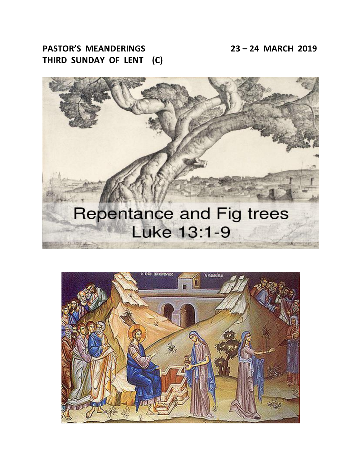**PASTOR'S MEANDERINGS 23 – 24 MARCH 2019 THIRD SUNDAY OF LENT (C)**



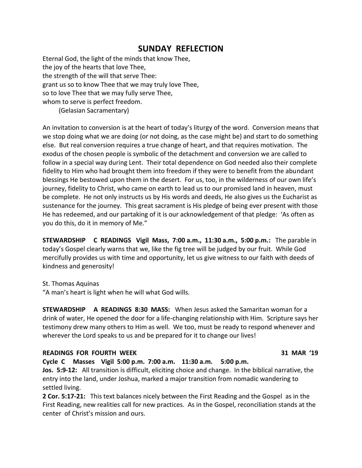## **SUNDAY REFLECTION**

Eternal God, the light of the minds that know Thee, the joy of the hearts that love Thee, the strength of the will that serve Thee: grant us so to know Thee that we may truly love Thee, so to love Thee that we may fully serve Thee, whom to serve is perfect freedom.

(Gelasian Sacramentary)

An invitation to conversion is at the heart of today's liturgy of the word. Conversion means that we stop doing what we are doing (or not doing, as the case might be) and start to do something else. But real conversion requires a true change of heart, and that requires motivation. The exodus of the chosen people is symbolic of the detachment and conversion we are called to follow in a special way during Lent. Their total dependence on God needed also their complete fidelity to Him who had brought them into freedom if they were to benefit from the abundant blessings He bestowed upon them in the desert. For us, too, in the wilderness of our own life's journey, fidelity to Christ, who came on earth to lead us to our promised land in heaven, must be complete. He not only instructs us by His words and deeds, He also gives us the Eucharist as sustenance for the journey. This great sacrament is His pledge of being ever present with those He has redeemed, and our partaking of it is our acknowledgement of that pledge: 'As often as you do this, do it in memory of Me."

**STEWARDSHIP C READINGS Vigil Mass, 7:00 a.m., 11:30 a.m., 5:00 p.m.:** The parable in today's Gospel clearly warns that we, like the fig tree will be judged by our fruit. While God mercifully provides us with time and opportunity, let us give witness to our faith with deeds of kindness and generosity!

St. Thomas Aquinas

"A man's heart is light when he will what God wills.

**STEWARDSHIP A READINGS 8:30 MASS:** When Jesus asked the Samaritan woman for a drink of water, He opened the door for a life-changing relationship with Him. Scripture says her testimony drew many others to Him as well. We too, must be ready to respond whenever and wherever the Lord speaks to us and be prepared for it to change our lives!

## **READINGS FOR FOURTH WEEK 31 MAR '19**

**Cycle C Masses Vigil 5:00 p.m. 7:00 a.m. 11:30 a.m. 5:00 p.m.**

**Jos. 5:9-12:** All transition is difficult, eliciting choice and change. In the biblical narrative, the entry into the land, under Joshua, marked a major transition from nomadic wandering to settled living.

**2 Cor. 5:17-21:** This text balances nicely between the First Reading and the Gospel as in the First Reading, new realities call for new practices. As in the Gospel, reconciliation stands at the center of Christ's mission and ours.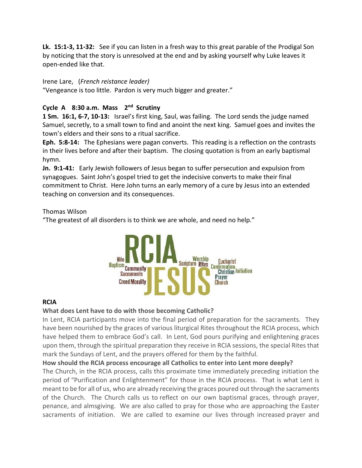**Lk. 15:1-3, 11-32:** See if you can listen in a fresh way to this great parable of the Prodigal Son by noticing that the story is unresolved at the end and by asking yourself why Luke leaves it open-ended like that.

## Irene Lare, (*French reistance leader)*

"Vengeance is too little. Pardon is very much bigger and greater."

## Cycle A 8:30 a.m. Mass 2<sup>nd</sup> Scrutiny

**1 Sm. 16:1, 6-7, 10-13:** Israel's first king, Saul, was failing. The Lord sends the judge named Samuel, secretly, to a small town to find and anoint the next king. Samuel goes and invites the town's elders and their sons to a ritual sacrifice.

**Eph. 5:8-14:** The Ephesians were pagan converts. This reading is a reflection on the contrasts in their lives before and after their baptism. The closing quotation is from an early baptismal hymn.

**Jn. 9:1-41:** Early Jewish followers of Jesus began to suffer persecution and expulsion from synagogues. Saint John's gospel tried to get the indecisive converts to make their final commitment to Christ. Here John turns an early memory of a cure by Jesus into an extended teaching on conversion and its consequences.

## Thomas Wilson

"The greatest of all disorders is to think we are whole, and need no help."



## **RCIA**

## **What does Lent have to do with those becoming Catholic?**

In Lent, RCIA participants move into the final period of preparation for the sacraments. They have been nourished by the graces of various liturgical Rites throughout the RCIA process, which have helped them to embrace God's call. In Lent, God pours purifying and enlightening graces upon them, through the spiritual preparation they receive in RCIA sessions, the special Rites that mark the Sundays of Lent, and the prayers offered for them by the faithful.

## **How should the RCIA process encourage all Catholics to enter into Lent more deeply?**

The Church, in the RCIA process, calls this proximate time immediately preceding initiation the period of "Purification and Enlightenment" for those in the RCIA process. That is what Lent is meant to be for all of us, who are already receiving the graces poured out through the sacraments of the Church. The Church calls us to reflect on our own baptismal graces, through prayer, penance, and almsgiving. We are also called to pray for those who are approaching the Easter sacraments of initiation. We are called to examine our lives through increased prayer and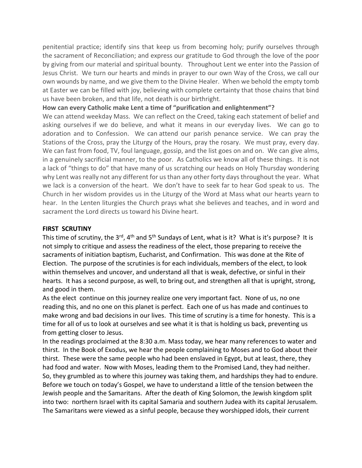penitential practice; identify sins that keep us from becoming holy; purify ourselves through the sacrament of Reconciliation; and express our gratitude to God through the love of the poor by giving from our material and spiritual bounty. Throughout Lent we enter into the Passion of Jesus Christ. We turn our hearts and minds in prayer to our own Way of the Cross, we call our own wounds by name, and we give them to the Divine Healer. When we behold the empty tomb at Easter we can be filled with joy, believing with complete certainty that those chains that bind us have been broken, and that life, not death is our birthright.

## **How can every Catholic make Lent a time of "purification and enlightenment"?**

We can attend weekday Mass. We can reflect on the Creed, taking each statement of belief and asking ourselves if we do believe, and what it means in our everyday lives. We can go to adoration and to Confession. We can attend our parish penance service. We can pray the Stations of the Cross, pray the Liturgy of the Hours, pray the rosary. We must pray, every day. We can fast from food, TV, foul language, gossip, and the list goes on and on. We can give alms, in a genuinely sacrificial manner, to the poor. As Catholics we know all of these things. It is not a lack of "things to do" that have many of us scratching our heads on Holy Thursday wondering why Lent was really not any different for us than any other forty days throughout the year. What we lack is a conversion of the heart. We don't have to seek far to hear God speak to us. The Church in her wisdom provides us in the Liturgy of the Word at Mass what our hearts yearn to hear. In the Lenten liturgies the Church prays what she believes and teaches, and in word and sacrament the Lord directs us toward his Divine heart.

#### **FIRST SCRUTINY**

This time of scrutiny, the 3<sup>rd</sup>, 4<sup>th</sup> and 5<sup>th</sup> Sundays of Lent, what is it? What is it's purpose? It is not simply to critique and assess the readiness of the elect, those preparing to receive the sacraments of initiation baptism, Eucharist, and Confirmation. This was done at the Rite of Election. The purpose of the scrutinies is for each individuals, members of the elect, to look within themselves and uncover, and understand all that is weak, defective, or sinful in their hearts. It has a second purpose, as well, to bring out, and strengthen all that is upright, strong, and good in them.

As the elect continue on this journey realize one very important fact. None of us, no one reading this, and no one on this planet is perfect. Each one of us has made and continues to make wrong and bad decisions in our lives. This time of scrutiny is a time for honesty. This is a time for all of us to look at ourselves and see what it is that is holding us back, preventing us from getting closer to Jesus.

In the readings proclaimed at the 8:30 a.m. Mass today, we hear many references to water and thirst. In the Book of Exodus, we hear the people complaining to Moses and to God about their thirst. These were the same people who had been enslaved in Egypt, but at least, there, they had food and water. Now with Moses, leading them to the Promised Land, they had neither. So, they grumbled as to where this journey was taking them, and hardships they had to endure. Before we touch on today's Gospel, we have to understand a little of the tension between the Jewish people and the Samaritans. After the death of King Solomon, the Jewish kingdom split into two: northern Israel with its capital Samaria and southern Judea with its capital Jerusalem. The Samaritans were viewed as a sinful people, because they worshipped idols, their current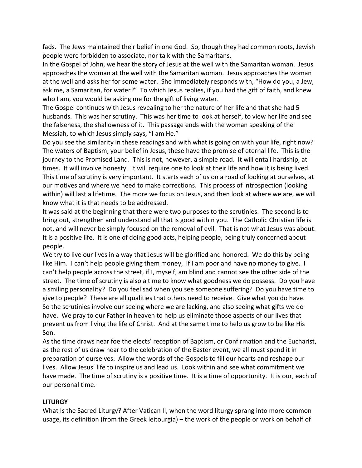fads. The Jews maintained their belief in one God. So, though they had common roots, Jewish people were forbidden to associate, nor talk with the Samaritans.

In the Gospel of John, we hear the story of Jesus at the well with the Samaritan woman. Jesus approaches the woman at the well with the Samaritan woman. Jesus approaches the woman at the well and asks her for some water. She immediately responds with, "How do you, a Jew, ask me, a Samaritan, for water?" To which Jesus replies, if you had the gift of faith, and knew who I am, you would be asking me for the gift of living water.

The Gospel continues with Jesus revealing to her the nature of her life and that she had 5 husbands. This was her scrutiny. This was her time to look at herself, to view her life and see the falseness, the shallowness of it. This passage ends with the woman speaking of the Messiah, to which Jesus simply says, "I am He."

Do you see the similarity in these readings and with what is going on with your life, right now? The waters of Baptism, your belief in Jesus, these have the promise of eternal life. This is the journey to the Promised Land. This is not, however, a simple road. It will entail hardship, at times. It will involve honesty. It will require one to look at their life and how it is being lived. This time of scrutiny is very important. It starts each of us on a road of looking at ourselves, at our motives and where we need to make corrections. This process of introspection (looking within) will last a lifetime. The more we focus on Jesus, and then look at where we are, we will know what it is that needs to be addressed.

It was said at the beginning that there were two purposes to the scrutinies. The second is to bring out, strengthen and understand all that is good within you. The Catholic Christian life is not, and will never be simply focused on the removal of evil. That is not what Jesus was about. It is a positive life. It is one of doing good acts, helping people, being truly concerned about people.

We try to live our lives in a way that Jesus will be glorified and honored. We do this by being like Him. I can't help people giving them money, if I am poor and have no money to give. I can't help people across the street, if I, myself, am blind and cannot see the other side of the street. The time of scrutiny is also a time to know what goodness we do possess. Do you have a smiling personality? Do you feel sad when you see someone suffering? Do you have time to give to people? These are all qualities that others need to receive. Give what you do have. So the scrutinies involve our seeing where we are lacking, and also seeing what gifts we do have. We pray to our Father in heaven to help us eliminate those aspects of our lives that prevent us from living the life of Christ. And at the same time to help us grow to be like His Son.

As the time draws near foe the elects' reception of Baptism, or Confirmation and the Eucharist, as the rest of us draw near to the celebration of the Easter event, we all must spend it in preparation of ourselves. Allow the words of the Gospels to fill our hearts and reshape our lives. Allow Jesus' life to inspire us and lead us. Look within and see what commitment we have made. The time of scrutiny is a positive time. It is a time of opportunity. It is our, each of our personal time.

#### **LITURGY**

What Is the Sacred Liturgy? After Vatican II, when the word liturgy sprang into more common usage, its definition (from the Greek leitourgia) – the work of the people or work on behalf of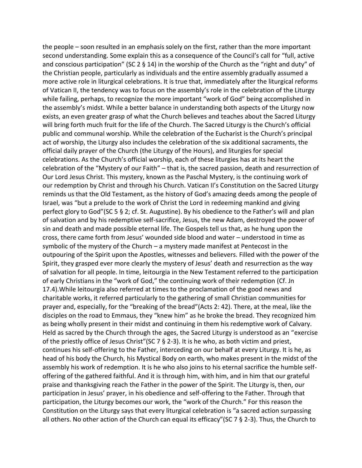the people – soon resulted in an emphasis solely on the first, rather than the more important second understanding. Some explain this as a consequence of the Council's call for "full, active and conscious participation" (SC 2  $\S$  14) in the worship of the Church as the "right and duty" of the Christian people, particularly as individuals and the entire assembly gradually assumed a more active role in liturgical celebrations. It is true that, immediately after the liturgical reforms of Vatican II, the tendency was to focus on the assembly's role in the celebration of the Liturgy while failing, perhaps, to recognize the more important "work of God" being accomplished in the assembly's midst. While a better balance in understanding both aspects of the Liturgy now exists, an even greater grasp of what the Church believes and teaches about the Sacred Liturgy will bring forth much fruit for the life of the Church. The Sacred Liturgy is the Church's official public and communal worship. While the celebration of the Eucharist is the Church's principal act of worship, the Liturgy also includes the celebration of the six additional sacraments, the official daily prayer of the Church (the Liturgy of the Hours), and liturgies for special celebrations. As the Church's official worship, each of these liturgies has at its heart the celebration of the "Mystery of our Faith" – that is, the sacred passion, death and resurrection of Our Lord Jesus Christ. This mystery, known as the Paschal Mystery, is the continuing work of our redemption by Christ and through his Church. Vatican II's Constitution on the Sacred Liturgy reminds us that the Old Testament, as the history of God's amazing deeds among the people of Israel, was "but a prelude to the work of Christ the Lord in redeeming mankind and giving perfect glory to God"(SC 5 § 2; cf. St. Augustine). By his obedience to the Father's will and plan of salvation and by his redemptive self-sacrifice, Jesus, the new Adam, destroyed the power of sin and death and made possible eternal life. The Gospels tell us that, as he hung upon the cross, there came forth from Jesus' wounded side blood and water – understood in time as symbolic of the mystery of the Church – a mystery made manifest at Pentecost in the outpouring of the Spirit upon the Apostles, witnesses and believers. Filled with the power of the Spirit, they grasped ever more clearly the mystery of Jesus' death and resurrection as the way of salvation for all people. In time, leitourgia in the New Testament referred to the participation of early Christians in the "work of God," the continuing work of their redemption (Cf. Jn 17.4).While leitourgia also referred at times to the proclamation of the good news and charitable works, it referred particularly to the gathering of small Christian communities for prayer and, especially, for the "breaking of the bread"(Acts 2: 42). There, at the meal, like the disciples on the road to Emmaus, they "knew him" as he broke the bread. They recognized him as being wholly present in their midst and continuing in them his redemptive work of Calvary. Held as sacred by the Church through the ages, the Sacred Liturgy is understood as an "exercise of the priestly office of Jesus Christ"(SC 7 § 2-3). It is he who, as both victim and priest, continues his self-offering to the Father, interceding on our behalf at every Liturgy. It is he, as head of his body the Church, his Mystical Body on earth, who makes present in the midst of the assembly his work of redemption. It is he who also joins to his eternal sacrifice the humble selfoffering of the gathered faithful. And it is through him, with him, and in him that our grateful praise and thanksgiving reach the Father in the power of the Spirit. The Liturgy is, then, our participation in Jesus' prayer, in his obedience and self-offering to the Father. Through that participation, the Liturgy becomes our work, the "work of the Church." For this reason the Constitution on the Liturgy says that every liturgical celebration is "a sacred action surpassing all others. No other action of the Church can equal its efficacy"(SC 7 § 2-3). Thus, the Church to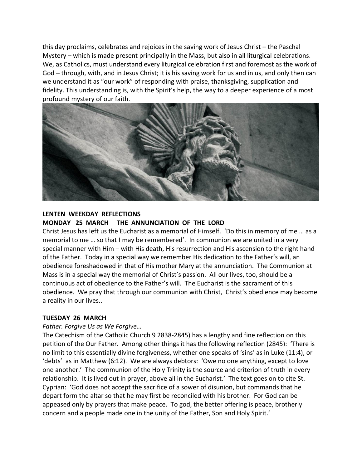this day proclaims, celebrates and rejoices in the saving work of Jesus Christ – the Paschal Mystery – which is made present principally in the Mass, but also in all liturgical celebrations. We, as Catholics, must understand every liturgical celebration first and foremost as the work of God – through, with, and in Jesus Christ; it is his saving work for us and in us, and only then can we understand it as "our work" of responding with praise, thanksgiving, supplication and fidelity. This understanding is, with the Spirit's help, the way to a deeper experience of a most profound mystery of our faith.



#### **LENTEN WEEKDAY REFLECTIONS MONDAY 25 MARCH THE ANNUNCIATION OF THE LORD**

Christ Jesus has left us the Eucharist as a memorial of Himself. 'Do this in memory of me … as a memorial to me … so that I may be remembered'. In communion we are united in a very special manner with Him – with His death, His resurrection and His ascension to the right hand of the Father. Today in a special way we remember His dedication to the Father's will, an obedience foreshadowed in that of His mother Mary at the annunciation. The Communion at Mass is in a special way the memorial of Christ's passion. All our lives, too, should be a continuous act of obedience to the Father's will. The Eucharist is the sacrament of this obedience. We pray that through our communion with Christ, Christ's obedience may become a reality in our lives..

#### **TUESDAY 26 MARCH**

#### *Father. Forgive Us as We Forgive…*

The Catechism of the Catholic Church 9 2838-2845) has a lengthy and fine reflection on this petition of the Our Father. Among other things it has the following reflection (2845): 'There is no limit to this essentially divine forgiveness, whether one speaks of 'sins' as in Luke (11:4), or 'debts' as in Matthew (6:12). We are always debtors: 'Owe no one anything, except to love one another.' The communion of the Holy Trinity is the source and criterion of truth in every relationship. It is lived out in prayer, above all in the Eucharist.' The text goes on to cite St. Cyprian: 'God does not accept the sacrifice of a sower of disunion, but commands that he depart form the altar so that he may first be reconciled with his brother. For God can be appeased only by prayers that make peace. To god, the better offering is peace, brotherly concern and a people made one in the unity of the Father, Son and Holy Spirit.'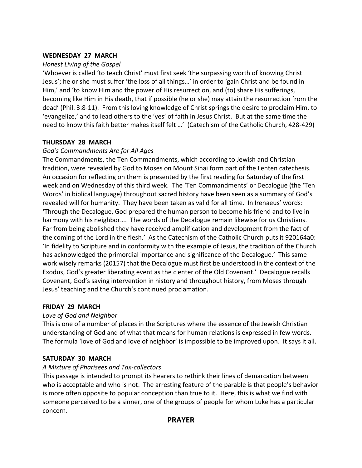## **WEDNESDAY 27 MARCH**

## *Honest Living of the Gospel*

'Whoever is called 'to teach Christ' must first seek 'the surpassing worth of knowing Christ Jesus'; he or she must suffer 'the loss of all things…' in order to 'gain Christ and be found in Him,' and 'to know Him and the power of His resurrection, and (to) share His sufferings, becoming like Him in His death, that if possible (he or she) may attain the resurrection from the dead' (Phil. 3:8-11). From this loving knowledge of Christ springs the desire to proclaim Him, to 'evangelize,' and to lead others to the 'yes' of faith in Jesus Christ. But at the same time the need to know this faith better makes itself felt …' (Catechism of the Catholic Church, 428-429)

## **THURSDAY 28 MARCH**

## *God's Commandments Are for All Ages*

The Commandments, the Ten Commandments, which according to Jewish and Christian tradition, were revealed by God to Moses on Mount Sinai form part of the Lenten catechesis. An occasion for reflecting on them is presented by the first reading for Saturday of the first week and on Wednesday of this third week. The 'Ten Commandments' or Decalogue (the 'Ten Words' in biblical language) throughout sacred history have been seen as a summary of God's revealed will for humanity. They have been taken as valid for all time. In Irenaeus' words: 'Through the Decalogue, God prepared the human person to become his friend and to live in harmony with his neighbor…. The words of the Decalogue remain likewise for us Christians. Far from being abolished they have received amplification and development from the fact of the coming of the Lord in the flesh.' As the Catechism of the Catholic Church puts it 920164a0: 'In fidelity to Scripture and in conformity with the example of Jesus, the tradition of the Church has acknowledged the primordial importance and significance of the Decalogue.' This same work wisely remarks (20157) that the Decalogue must first be understood in the context of the Exodus, God's greater liberating event as the c enter of the Old Covenant.' Decalogue recalls Covenant, God's saving intervention in history and throughout history, from Moses through Jesus' teaching and the Church's continued proclamation.

## **FRIDAY 29 MARCH**

## *Love of God and Neighbor*

This is one of a number of places in the Scriptures where the essence of the Jewish Christian understanding of God and of what that means for human relations is expressed in few words. The formula 'love of God and love of neighbor' is impossible to be improved upon. It says it all.

## **SATURDAY 30 MARCH**

## *A Mixture of Pharisees and Tax-collectors*

This passage is intended to prompt its hearers to rethink their lines of demarcation between who is acceptable and who is not. The arresting feature of the parable is that people's behavior is more often opposite to popular conception than true to it. Here, this is what we find with someone perceived to be a sinner, one of the groups of people for whom Luke has a particular concern.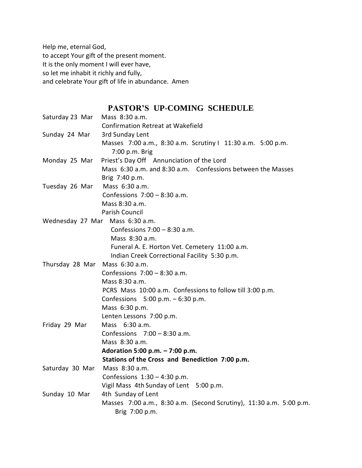Help me, eternal God, to accept Your gift of the present moment. It is the only moment I will ever have, so let me inhabit it richly and fully, and celebrate Your gift of life in abundance. Amen

# **PASTOR'S UP-COMING SCHEDULE**

| Saturday 23 Mar Mass 8:30 a.m. |                                                                     |
|--------------------------------|---------------------------------------------------------------------|
|                                | <b>Confirmation Retreat at Wakefield</b>                            |
| Sunday 24 Mar                  | 3rd Sunday Lent                                                     |
|                                | Masses 7:00 a.m., 8:30 a.m. Scrutiny I 11:30 a.m. 5:00 p.m.         |
|                                | 7:00 p.m. Brig                                                      |
| Monday 25 Mar                  | Priest's Day Off Annunciation of the Lord                           |
|                                | Mass 6:30 a.m. and 8:30 a.m. Confessions between the Masses         |
|                                | Brig 7:40 p.m.                                                      |
| Tuesday 26 Mar                 | Mass 6:30 a.m.                                                      |
|                                | Confessions $7:00 - 8:30$ a.m.                                      |
|                                | Mass 8:30 a.m.                                                      |
|                                | <b>Parish Council</b>                                               |
|                                | Wednesday 27 Mar Mass 6:30 a.m.                                     |
|                                | Confessions $7:00 - 8:30$ a.m.                                      |
|                                | Mass 8:30 a.m.                                                      |
|                                | Funeral A. E. Horton Vet. Cemetery 11:00 a.m.                       |
|                                | Indian Creek Correctional Facility 5:30 p.m.                        |
| Thursday 28 Mar Mass 6:30 a.m. |                                                                     |
|                                | Confessions $7:00 - 8:30$ a.m.                                      |
|                                | Mass 8:30 a.m.                                                      |
|                                | PCRS Mass 10:00 a.m. Confessions to follow till 3:00 p.m.           |
|                                | Confessions $5:00$ p.m. $-6:30$ p.m.                                |
|                                | Mass 6:30 p.m.                                                      |
|                                | Lenten Lessons 7:00 p.m.                                            |
| Friday 29 Mar                  | Mass 6:30 a.m.                                                      |
|                                | Confessions $7:00 - 8:30$ a.m.                                      |
|                                | Mass 8:30 a.m.                                                      |
|                                | Adoration 5:00 p.m. - 7:00 p.m.                                     |
|                                | Stations of the Cross and Benediction 7:00 p.m.                     |
| Saturday 30 Mar Mass 8:30 a.m. |                                                                     |
|                                | Confessions $1:30 - 4:30$ p.m.                                      |
|                                | Vigil Mass 4th Sunday of Lent 5:00 p.m.                             |
| Sunday 10 Mar                  | 4th Sunday of Lent                                                  |
|                                | Masses 7:00 a.m., 8:30 a.m. (Second Scrutiny), 11:30 a.m. 5:00 p.m. |
|                                | Brig 7:00 p.m.                                                      |